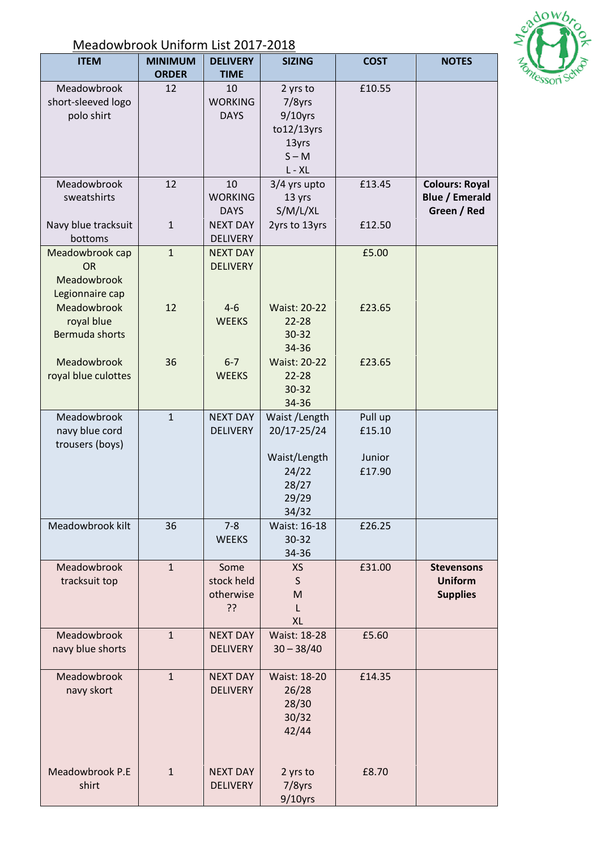

## Meadowbrook Uniform List 2017-2018

| <b>ITEM</b>                                                    | <b>MINIMUM</b><br><b>ORDER</b> | <b>DELIVERY</b><br><b>TIME</b>        | <b>SIZING</b>                                                                      | <b>COST</b>                           | <b>NOTES</b>                                                  |
|----------------------------------------------------------------|--------------------------------|---------------------------------------|------------------------------------------------------------------------------------|---------------------------------------|---------------------------------------------------------------|
| Meadowbrook<br>short-sleeved logo<br>polo shirt                | 12                             | 10<br><b>WORKING</b><br><b>DAYS</b>   | 2 yrs to<br>7/8yrs<br>$9/10$ yrs<br>$to 12/13$ yrs<br>13yrs<br>$S - M$<br>$L - XL$ | £10.55                                |                                                               |
| Meadowbrook<br>sweatshirts                                     | 12                             | 10<br><b>WORKING</b><br><b>DAYS</b>   | 3/4 yrs upto<br>13 yrs<br>S/M/L/XL                                                 | £13.45                                | <b>Colours: Royal</b><br><b>Blue / Emerald</b><br>Green / Red |
| Navy blue tracksuit<br>bottoms                                 | $\mathbf{1}$                   | <b>NEXT DAY</b><br><b>DELIVERY</b>    | 2yrs to 13yrs                                                                      | £12.50                                |                                                               |
| Meadowbrook cap<br><b>OR</b><br>Meadowbrook<br>Legionnaire cap | $\mathbf{1}$                   | <b>NEXT DAY</b><br><b>DELIVERY</b>    |                                                                                    | £5.00                                 |                                                               |
| Meadowbrook<br>royal blue<br>Bermuda shorts                    | 12                             | $4 - 6$<br><b>WEEKS</b>               | <b>Waist: 20-22</b><br>$22 - 28$<br>30-32<br>34-36                                 | £23.65                                |                                                               |
| Meadowbrook<br>royal blue culottes                             | 36                             | $6 - 7$<br><b>WEEKS</b>               | <b>Waist: 20-22</b><br>$22 - 28$<br>$30 - 32$<br>34-36                             | £23.65                                |                                                               |
| Meadowbrook<br>navy blue cord<br>trousers (boys)               | $\mathbf{1}$                   | <b>NEXT DAY</b><br><b>DELIVERY</b>    | Waist / Length<br>20/17-25/24<br>Waist/Length<br>24/22<br>28/27<br>29/29<br>34/32  | Pull up<br>£15.10<br>Junior<br>£17.90 |                                                               |
| Meadowbrook kilt                                               | 36                             | $7 - 8$<br><b>WEEKS</b>               | Waist: 16-18<br>30-32<br>34-36                                                     | £26.25                                |                                                               |
| Meadowbrook<br>tracksuit top                                   | $\mathbf{1}$                   | Some<br>stock held<br>otherwise<br>?? | <b>XS</b><br>S<br>M<br>L<br><b>XL</b>                                              | £31.00                                | <b>Stevensons</b><br><b>Uniform</b><br><b>Supplies</b>        |
| Meadowbrook<br>navy blue shorts                                | $\mathbf{1}$                   | <b>NEXT DAY</b><br><b>DELIVERY</b>    | Waist: 18-28<br>$30 - 38/40$                                                       | £5.60                                 |                                                               |
| Meadowbrook<br>navy skort                                      | $\mathbf{1}$                   | <b>NEXT DAY</b><br><b>DELIVERY</b>    | <b>Waist: 18-20</b><br>26/28<br>28/30<br>30/32<br>42/44                            | £14.35                                |                                                               |
| Meadowbrook P.E<br>shirt                                       | $\overline{1}$                 | <b>NEXT DAY</b><br><b>DELIVERY</b>    | 2 yrs to<br>7/8yrs<br>$9/10$ yrs                                                   | £8.70                                 |                                                               |